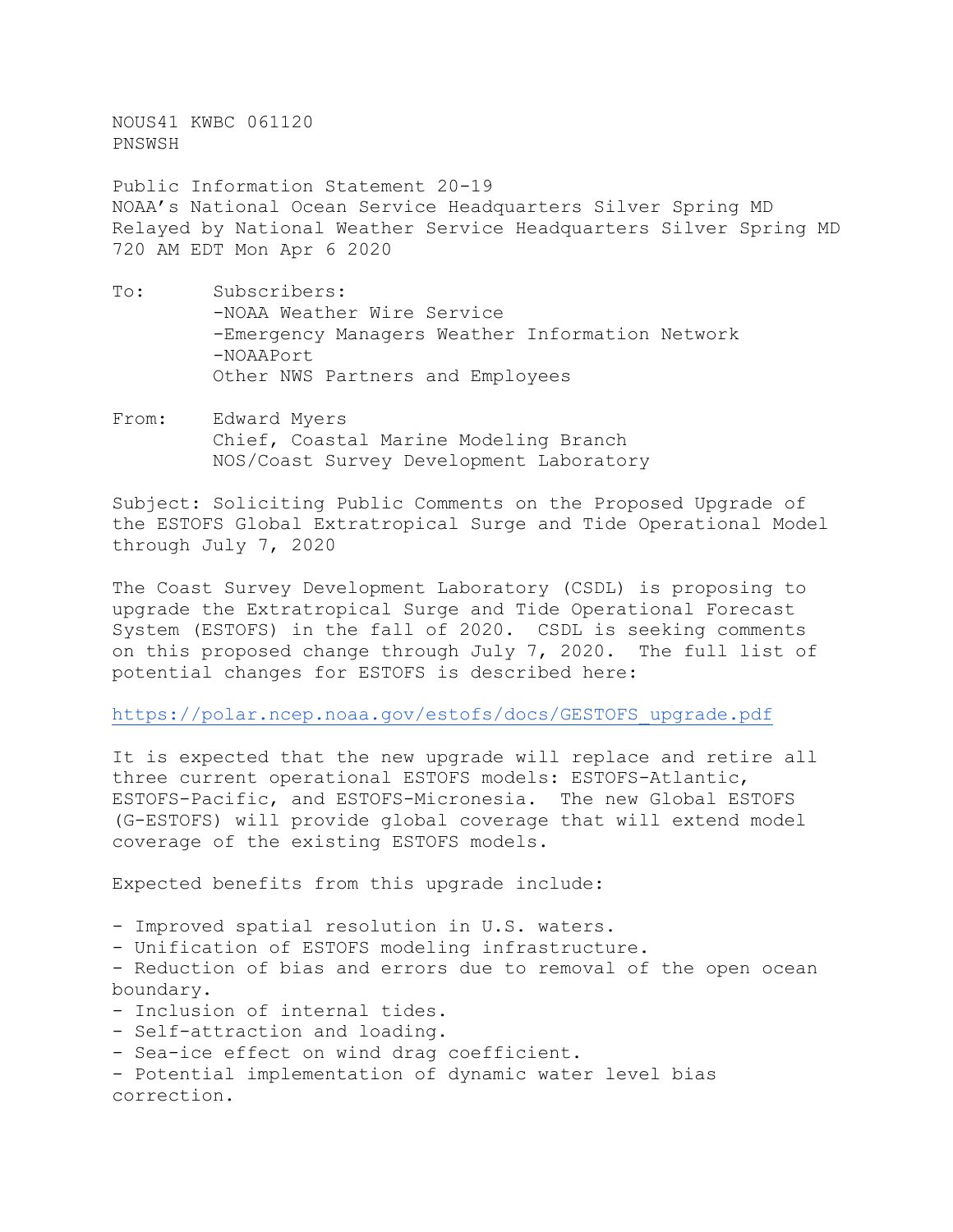NOUS41 KWBC 061120 PNSWSH

Public Information Statement 20-19 NOAA's National Ocean Service Headquarters Silver Spring MD Relayed by National Weather Service Headquarters Silver Spring MD 720 AM EDT Mon Apr 6 2020

- To: Subscribers: -NOAA Weather Wire Service -Emergency Managers Weather Information Network -NOAAPort Other NWS Partners and Employees
- From: Edward Myers Chief, Coastal Marine Modeling Branch NOS/Coast Survey Development Laboratory

Subject: Soliciting Public Comments on the Proposed Upgrade of the ESTOFS Global Extratropical Surge and Tide Operational Model through July 7, 2020

The Coast Survey Development Laboratory (CSDL) is proposing to upgrade the Extratropical Surge and Tide Operational Forecast System (ESTOFS) in the fall of 2020. CSDL is seeking comments on this proposed change through July 7, 2020. The full list of potential changes for ESTOFS is described here:

[https://polar.ncep.noaa.gov/estofs/docs/GESTOFS\\_upgrade.pdf](https://polar.ncep.noaa.gov/estofs/docs/GESTOFS_upgrade.pdf)

It is expected that the new upgrade will replace and retire all three current operational ESTOFS models: ESTOFS-Atlantic, ESTOFS-Pacific, and ESTOFS-Micronesia. The new Global ESTOFS (G-ESTOFS) will provide global coverage that will extend model coverage of the existing ESTOFS models.

Expected benefits from this upgrade include:

- Improved spatial resolution in U.S. waters.

- Unification of ESTOFS modeling infrastructure.

- Reduction of bias and errors due to removal of the open ocean boundary.

- Inclusion of internal tides.
- Self-attraction and loading.
- Sea-ice effect on wind drag coefficient.
- Potential implementation of dynamic water level bias correction.